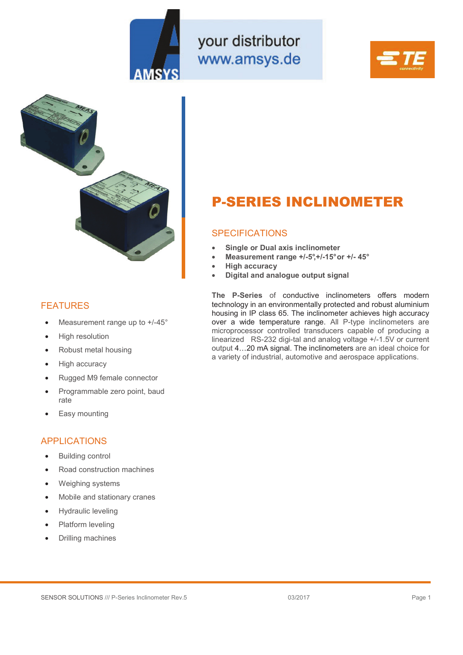

your distributor www.amsys.de





## FEATURES

- Measurement range up to +/-45°
- High resolution
- Robust metal housing
- High accuracy
- Rugged M9 female connector
- Programmable zero point, baud rate
- Easy mounting

#### APPLICATIONS

- **Building control**
- Road construction machines
- Weighing systems
- Mobile and stationary cranes
- Hydraulic leveling
- Platform leveling
- Drilling machines

# **P-SERIES INCLINOMETER**

#### **SPECIFICATIONS**

- **Single or Dual axis inclinometer**
- **Measurement range +/-5°,+/-15° or +/- 45°**
- **High accuracy**
- **Digital and analogue output signal**

**The P-Series** of conductive inclinometers offers modern technology in an environmentally protected and robust aluminium housing in IP class 65. The inclinometer achieves high accuracy over a wide temperature range. All P-type inclinometers are microprocessor controlled transducers capable of producing a linearized RS-232 digi-tal and analog voltage +/-1.5V or current output 4…20 mA signal. The inclinometers are an ideal choice for a variety of industrial, automotive and aerospace applications.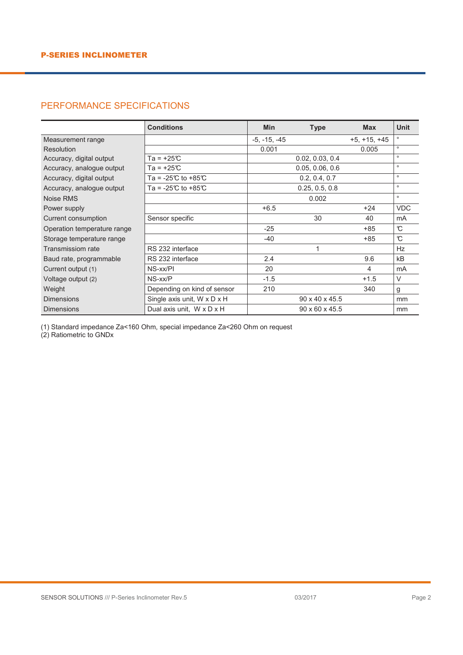### PERFORMANCE SPECIFICATIONS

|                             | <b>Conditions</b>                       | <b>Min</b>     | <b>Type</b>     | <b>Max</b>     | <b>Unit</b>   |
|-----------------------------|-----------------------------------------|----------------|-----------------|----------------|---------------|
| Measurement range           |                                         | $-5, -15, -45$ |                 | $+5, +15, +45$ | $\circ$       |
| Resolution                  |                                         | 0.001          |                 | 0.005          | $\circ$       |
| Accuracy, digital output    | $Ta = +25C$                             |                | 0.02, 0.03, 0.4 |                | $\circ$       |
| Accuracy, analogue output   | $Ta = +25C$                             |                | 0.05, 0.06, 0.6 |                | $\circ$       |
| Accuracy, digital output    | Ta = $-25^\circ$ C to $+85^\circ$ C     |                | 0.2, 0.4, 0.7   |                | $\circ$       |
| Accuracy, analogue output   | Ta = $-25^\circ$ C to $+85^\circ$ C     |                | 0.25, 0.5, 0.8  |                | $\circ$       |
| Noise RMS                   |                                         |                | 0.002           |                | $\circ$       |
| Power supply                |                                         | $+6.5$         |                 | $+24$          | <b>VDC</b>    |
| Current consumption         | Sensor specific                         |                | 30              | 40             | mA            |
| Operation temperature range |                                         | $-25$          |                 | $+85$          | C             |
| Storage temperature range   |                                         | -40            |                 | $+85$          | $\mathcal{C}$ |
| Transmissiom rate           | RS 232 interface                        |                |                 |                | <b>Hz</b>     |
| Baud rate, programmable     | RS 232 interface                        | 2.4            |                 | 9.6            | kB            |
| Current output (1)          | NS-xx/PI                                | 20             |                 | 4              | mA            |
| Voltage output (2)          | $NS-xx/P$                               | $-1.5$         |                 | $+1.5$         | $\vee$        |
| Weight                      | Depending on kind of sensor             | 210            |                 | 340            | g             |
| <b>Dimensions</b>           | Single axis unit, $W \times D \times H$ |                | 90 x 40 x 45.5  |                | mm            |
| <b>Dimensions</b>           | Dual axis unit, W x D x H               |                | 90 x 60 x 45.5  |                | mm            |

(1) Standard impedance Za<160 Ohm, special impedance Za<260 Ohm on request

(2) Ratiometric to GNDx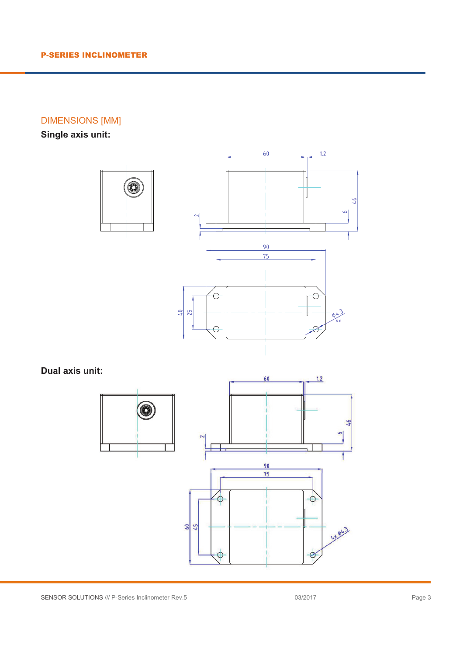DIMENSIONS [MM]

**Single axis unit:**

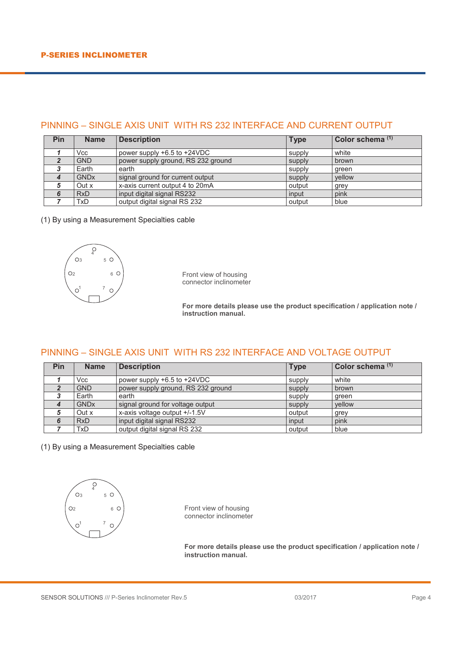#### PINNING – SINGLE AXIS UNIT WITH RS 232 INTERFACE AND CURRENT OUTPUT

| Pin | <b>Name</b>            | <b>Description</b>                 | <b>Type</b> | Color schema <sup>(1)</sup> |
|-----|------------------------|------------------------------------|-------------|-----------------------------|
|     | Vcc                    | power supply $+6.5$ to $+24$ VDC   | supply      | white                       |
|     | <b>GND</b>             | power supply ground, RS 232 ground | supply      | brown                       |
|     | Earth                  | earth                              | supply      | areen                       |
|     | <b>GND<sub>x</sub></b> | signal ground for current output   | supply      | vellow                      |
|     | Out x                  | x-axis current output 4 to 20mA    | output      | grey                        |
|     | <b>RxD</b>             | input digital signal RS232         | input       | pink                        |
|     | TxD                    | output digital signal RS 232       | output      | blue                        |

(1) By using a Measurement Specialties cable



Front view of housing connector inclinometer

**For more details please use the product specification / application note / instruction manual.** 

#### PINNING – SINGLE AXIS UNIT WITH RS 232 INTERFACE AND VOLTAGE OUTPUT

| Pin | <b>Name</b>            | <b>Description</b>                 | <b>Type</b> | Color schema <sup>(1)</sup> |
|-----|------------------------|------------------------------------|-------------|-----------------------------|
|     | Vcc                    | power supply +6.5 to +24VDC        | supply      | white                       |
|     | <b>GND</b>             | power supply ground, RS 232 ground | supply      | brown                       |
|     | Earth                  | earth                              | supply      | green                       |
|     | <b>GND<sub>x</sub></b> | signal ground for voltage output   | supply      | vellow                      |
|     | Out x                  | x-axis voltage output +/-1.5V      | output      | grey                        |
|     | RxD                    | input digital signal RS232         | input       | pink                        |
|     | TxD                    | output digital signal RS 232       | output      | blue                        |

(1) By using a Measurement Specialties cable



Front view of housing connector inclinometer

**For more details please use the product specification / application note / instruction manual.**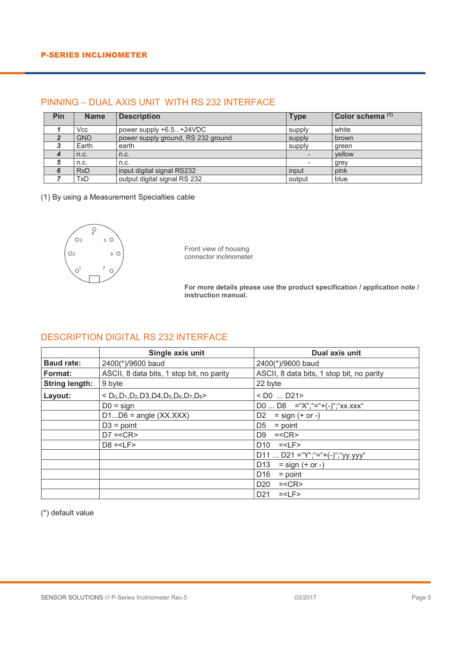#### PINNING – DUAL AXIS UNIT WITH RS 232 INTERFACE

| Pin | <b>Name</b> | <b>Description</b>                 | <b>Type</b> | Color schema <sup>(1)</sup> |
|-----|-------------|------------------------------------|-------------|-----------------------------|
|     | Vcc         | power supply $+6.5+24$ VDC         | supply      | white                       |
|     | <b>GND</b>  | power supply ground, RS 232 ground | supply      | brown                       |
|     | Earth       | earth                              | supply      | areen                       |
|     | n.c.        | n.c.                               |             | vellow                      |
|     | n.c.        | n.c.                               |             | grey                        |
|     | <b>RxD</b>  | input digital signal RS232         | input       | pink                        |
|     | TxD         | output digital signal RS 232       | output      | blue                        |

(1) By using a Measurement Specialties cable



Front view of housing  $\begin{bmatrix} 0 & 2 & 2 \end{bmatrix}$  2  $\begin{bmatrix} 2 & 0 \end{bmatrix}$  2 connector inclinometer

> **For more details please use the product specification / application note / instruction manual.**

#### DESCRIPTION DIGITAL RS 232 INTERFACE

|                       | Single axis unit                                                                                                                   | Dual axis unit                            |
|-----------------------|------------------------------------------------------------------------------------------------------------------------------------|-------------------------------------------|
| <b>Baud rate:</b>     | 2400(*)/9600 baud                                                                                                                  | 2400(*)/9600 baud                         |
| Format:               | ASCII, 8 data bits, 1 stop bit, no parity                                                                                          | ASCII, 8 data bits, 1 stop bit, no parity |
| <b>String length:</b> | 9 byte                                                                                                                             | 22 byte                                   |
| Layout:               | $<$ D <sub>0</sub> , D <sub>1</sub> , D <sub>2</sub> , D3, D4, D <sub>5</sub> , D <sub>6</sub> , D <sub>7</sub> , D <sub>8</sub> > | $<$ D0 $\ldots$ D21>                      |
|                       | $D0 =$ sign                                                                                                                        | $D0$ $D8 = "X"; "="+(-)"; "XXX.*"$        |
|                       | $D1D6$ = angle $(XX.XXX)$                                                                                                          | $=$ sign $(+$ or $-$ )<br>D <sub>2</sub>  |
|                       | $D3 = point$                                                                                                                       | D <sub>5</sub><br>$=$ point               |
|                       | $D7 = $                                                                                                                            | $=<$ CR $>$<br>D9                         |
|                       | $D8 = LF$                                                                                                                          | D <sub>10</sub><br>$=$                    |
|                       |                                                                                                                                    | D11  D21 = "Y"; "= "+(-)"; "yy.yyy"       |
|                       |                                                                                                                                    | D <sub>13</sub><br>$=$ sign $(+$ or $-$ ) |
|                       |                                                                                                                                    | D <sub>16</sub><br>$=$ point              |
|                       |                                                                                                                                    | $=<$ CR $>$<br>D <sub>20</sub>            |
|                       |                                                                                                                                    | D <sub>21</sub><br>$=$                    |

(\*) default value